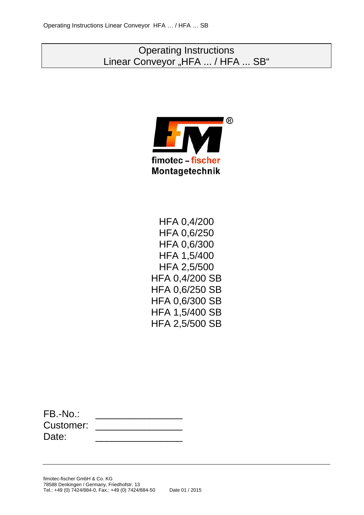# Operating Instructions Linear Conveyor "HFA ... / HFA ... SB"



HFA 0,4/200 HFA 0,6/250 HFA 0,6/300 HFA 1,5/400 HFA 2,5/500 HFA 0,4/200 SB HFA 0,6/250 SB HFA 0,6/300 SB HFA 1,5/400 SB HFA 2,5/500 SB

| $FB.-No.$ |  |
|-----------|--|
| Customer: |  |
| Date:     |  |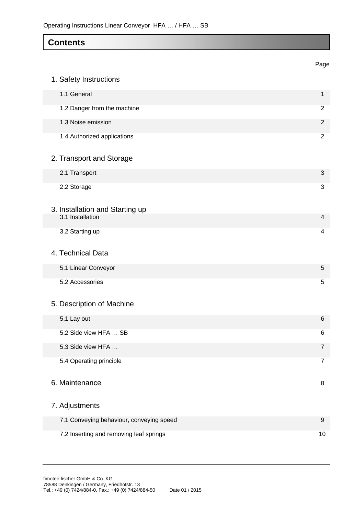## **Contents**

|                                          | Page             |
|------------------------------------------|------------------|
| 1. Safety Instructions                   |                  |
| 1.1 General                              | $\mathbf{1}$     |
| 1.2 Danger from the machine              | 2                |
| 1.3 Noise emission                       | $\overline{2}$   |
| 1.4 Authorized applications              | 2                |
| 2. Transport and Storage                 |                  |
| 2.1 Transport                            | 3                |
| 2.2 Storage                              | 3                |
| 3. Installation and Starting up          |                  |
| 3.1 Installation                         | 4                |
| 3.2 Starting up                          | 4                |
| 4. Technical Data                        |                  |
| 5.1 Linear Conveyor                      | 5                |
| 5.2 Accessories                          | 5                |
| 5. Description of Machine                |                  |
| 5.1 Lay out                              | $6\phantom{1}6$  |
| 5.2 Side view HFA  SB                    | 6                |
| 5.3 Side view HFA                        | $\overline{7}$   |
| 5.4 Operating principle                  | 7                |
| 6. Maintenance                           | 8                |
| 7. Adjustments                           |                  |
| 7.1 Conveying behaviour, conveying speed | $\boldsymbol{9}$ |
| 7.2 Inserting and removing leaf springs  | 10               |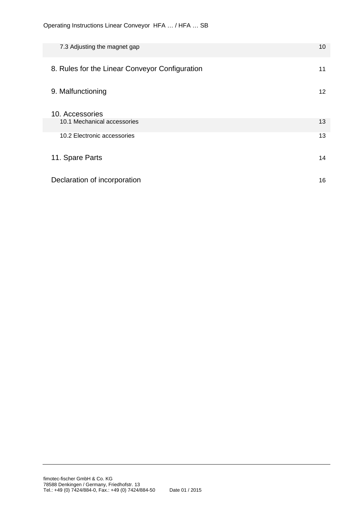| 7.3 Adjusting the magnet gap                   | 10 |
|------------------------------------------------|----|
| 8. Rules for the Linear Conveyor Configuration | 11 |
| 9. Malfunctioning                              | 12 |
| 10. Accessories<br>10.1 Mechanical accessories | 13 |
| 10.2 Electronic accessories                    | 13 |
| 11. Spare Parts                                | 14 |
| Declaration of incorporation                   | 16 |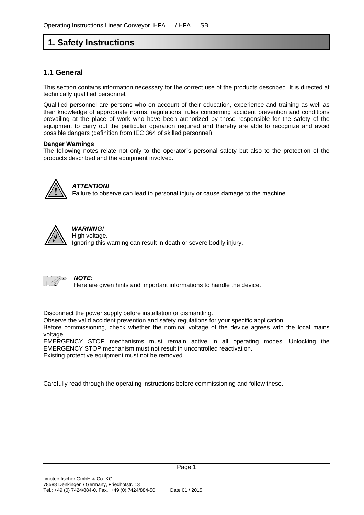# **1. Safety Instructions**

### **1.1 General**

This section contains information necessary for the correct use of the products described. It is directed at technically qualified personnel.

Qualified personnel are persons who on account of their education, experience and training as well as their knowledge of appropriate norms, regulations, rules concerning accident prevention and conditions prevailing at the place of work who have been authorized by those responsible for the safety of the equipment to carry out the particular operation required and thereby are able to recognize and avoid possible dangers (definition from IEC 364 of skilled personnel).

#### **Danger Warnings**

The following notes relate not only to the operator´s personal safety but also to the protection of the products described and the equipment involved.



### *ATTENTION!*

Failure to observe can lead to personal injury or cause damage to the machine.



### *WARNING!*

High voltage. Ignoring this warning can result in death or severe bodily injury.



#### *NOTE:*

Here are given hints and important informations to handle the device.

Disconnect the power supply before installation or dismantling.

Observe the valid accident prevention and safety regulations for your specific application.

Before commissioning, check whether the nominal voltage of the device agrees with the local mains voltage.

EMERGENCY STOP mechanisms must remain active in all operating modes. Unlocking the EMERGENCY STOP mechanism must not result in uncontrolled reactivation. Existing protective equipment must not be removed.

Carefully read through the operating instructions before commissioning and follow these.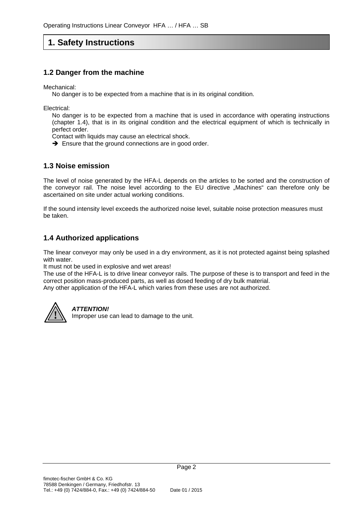# **1. Safety Instructions**

### **1.2 Danger from the machine**

Mechanical:

No danger is to be expected from a machine that is in its original condition.

Electrical:

No danger is to be expected from a machine that is used in accordance with operating instructions (chapter 1.4), that is in its original condition and the electrical equipment of which is technically in perfect order.

Contact with liquids may cause an electrical shock.

 $\rightarrow$  Ensure that the ground connections are in good order.

### **1.3 Noise emission**

The level of noise generated by the HFA-L depends on the articles to be sorted and the construction of the conveyor rail. The noise level according to the EU directive "Machines" can therefore only be ascertained on site under actual working conditions.

If the sound intensity level exceeds the authorized noise level, suitable noise protection measures must be taken.

### **1.4 Authorized applications**

The linear conveyor may only be used in a dry environment, as it is not protected against being splashed with water.

It must not be used in explosive and wet areas!

The use of the HFA-L is to drive linear conveyor rails. The purpose of these is to transport and feed in the correct position mass-produced parts, as well as dosed feeding of dry bulk material. Any other application of the HFA-L which varies from these uses are not authorized.



#### *ATTENTION!*

Improper use can lead to damage to the unit.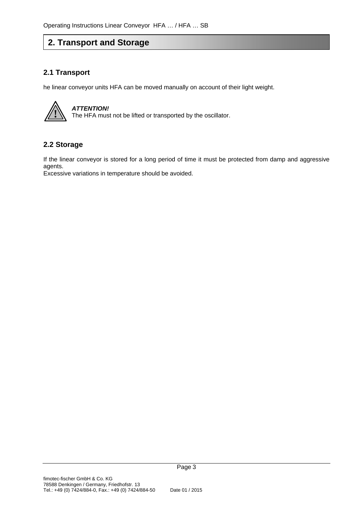# **2. Transport and Storage**

### **2.1 Transport**

he linear conveyor units HFA can be moved manually on account of their light weight.



#### **2.2 Storage**

If the linear conveyor is stored for a long period of time it must be protected from damp and aggressive agents.

Excessive variations in temperature should be avoided.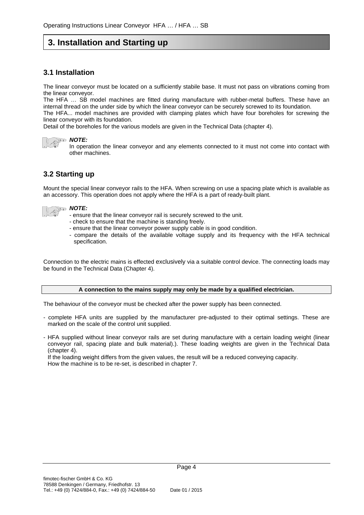## **3. Installation and Starting up**

### **3.1 Installation**

The linear conveyor must be located on a sufficiently stabile base. It must not pass on vibrations coming from the linear conveyor.

The HFA … SB model machines are fitted during manufacture with rubber-metal buffers. These have an internal thread on the under side by which the linear conveyor can be securely screwed to its foundation. The HFA... model machines are provided with clamping plates which have four boreholes for screwing the

linear conveyor with its foundation.

Detail of the boreholes for the various models are given in the Technical Data (chapter 4).

#### *NOTE:*

In operation the linear conveyor and any elements connected to it must not come into contact with other machines.

### **3.2 Starting up**

Mount the special linear conveyor rails to the HFA. When screwing on use a spacing plate which is available as an accessory. This operation does not apply where the HFA is a part of ready-built plant.



#### *NOTE:*

- ensure that the linear conveyor rail is securely screwed to the unit.
- check to ensure that the machine is standing freely.
- ensure that the linear conveyor power supply cable is in good condition.
- compare the details of the available voltage supply and its frequency with the HFA technical specification.

Connection to the electric mains is effected exclusively via a suitable control device. The connecting loads may be found in the Technical Data (Chapter 4).

#### **A connection to the mains supply may only be made by a qualified electrician.**

The behaviour of the conveyor must be checked after the power supply has been connected.

- complete HFA units are supplied by the manufacturer pre-adjusted to their optimal settings. These are marked on the scale of the control unit supplied.
- HFA supplied without linear conveyor rails are set during manufacture with a certain loading weight (linear conveyor rail, spacing plate and bulk material).). These loading weights are given in the Technical Data (chapter 4).

If the loading weight differs from the given values, the result will be a reduced conveying capacity. How the machine is to be re-set, is described in chapter 7.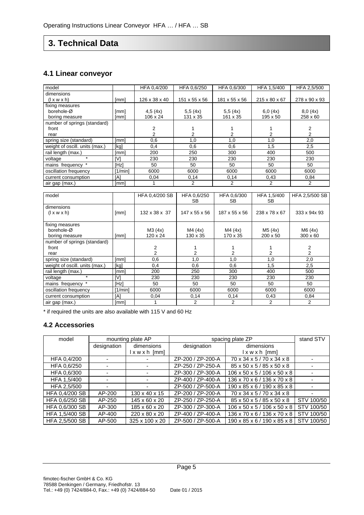# **3. Technical Data**

### **4.1 Linear conveyor**

| model                          |         | HFA 0,4/200               | HFA 0.6/250   | HFA 0,6/300   | HFA 1,5/400   | HFA 2,5/500    |
|--------------------------------|---------|---------------------------|---------------|---------------|---------------|----------------|
| dimensions                     |         |                           |               |               |               |                |
| $(l \times w \times h)$        | [mm]    | 126 x 38 x 40             | 151 x 55 x 56 | 181 x 55 x 56 | 215 x 80 x 67 | 278 x 90 x 93  |
| fixing measures                |         |                           |               |               |               |                |
| borehole-Ø                     | [mm]    | 4,5(4x)                   | 5,5(4x)       | 5,5(4x)       | 6,0(4x)       | 8,0(4x)        |
| boring measure                 | [mm]    | 106 x 24                  | 131 x 35      | 161 x 35      | 195 x 50      | 258 x 60       |
| number of springs (standard)   |         |                           |               |               |               |                |
| front                          |         | 2                         |               |               |               | 2              |
| rear                           |         | $\overline{2}$            | 2             | 2             | 2             | 2              |
| spring size (standard)         | [mm]    | 0,6                       | 1,0           | 1,0           | 1,0           | 2,0            |
| weight of oscill. units (max.) | [kg]    | 0,4                       | 0,6           | 0,6           | 1,5           | 2,5            |
| rail length (max.)             | [mm]    | 200                       | 250           | 300           | 400           | 500            |
| $\star$<br>voltage             | [V]     | 230                       | 230           | 230           | 230           | 230            |
| mains frequency *              | [Hz]    | 50                        | 50            | 50            | 50            | 50             |
| oscillation frequency          | [1/min] | 6000                      | 6000          | 6000          | 6000          | 6000           |
| current consumption            | [A]     | 0.04                      | 0,14          | 0,14          | 0,43          | 0.84           |
| air gap (max.)                 | [mm]    |                           | 2             | 2             | 2             | 2              |
|                                |         |                           |               |               |               |                |
| model                          |         | HFA 0,4/200 SB            | HFA 0.6/250   | HFA 0.6/300   | HFA 1,5/400   | HFA 2,5/500 SB |
|                                |         |                           | <b>SB</b>     | <b>SB</b>     | <b>SB</b>     |                |
| dimensions                     |         |                           |               |               |               |                |
| $(l \times w \times h)$        | [mm]    | $132 \times 38 \times 37$ | 147 x 55 x 56 | 187 x 55 x 56 | 238 x 78 x 67 | 333 x 94x 93   |
|                                |         |                           |               |               |               |                |

M4 (4x) 130 x 35

> 1  $\overline{2}$

spring size (standard) [mm] 0,6 1,0 1,0 1,0 2,0 weight of oscill. units (max.) [kg] 0,4 0,6 0,6 1,5 2,5<br>
rail length (max.) [mm] 200 250 300 400 500

voltage \* |[V] | 230 | 230 | 230 | 230 | 230 mains frequency \* [Hz] 50 50 50 50 50 50

M4 (4x) 170  $x \overline{35}$ 

> 1 2

M5 (4x) 200 x 50

> 1  $\overline{2}$

M6 (4x) 300 x 60

> 2  $\overline{2}$

oscillation frequency [1/min] 6000 6000 6000 6000 6000 6000<br>
current consumption [A] 0,04 0,14 0,14 0,43 0,84 current consumption [A] 0,04 0,14 0,14 air gap (max.) [mm] 1 2 2 2 2 2

M3 (4x) 120  $x \overline{24}$ 

> 2 2

\* if required the units are also available with 115 V and 60 Hz

#### **4.2 Accessories**

fixing measures borehole-Ø

rail length (max.)

 front rear

boring measure [mm]

number of springs (standard)

| model          | mounting plate AP |                            | spacing plate ZP  |                             | stand STV  |
|----------------|-------------------|----------------------------|-------------------|-----------------------------|------------|
|                | designation       | dimensions                 | designation       | dimensions                  |            |
|                |                   | $l \times w \times h$ [mm] |                   | $l$ x w x h $[mm]$          |            |
| HFA 0,4/200    |                   |                            | ZP-200 / ZP-200-A | 70 x 34 x 5 / 70 x 34 x 8   |            |
| HFA 0.6/250    | ٠                 |                            | ZP-250 / ZP-250-A | 85 x 50 x 5 / 85 x 50 x 8   |            |
| HFA 0.6/300    |                   |                            | ZP-300 / ZP-300-A | 106 x 50 x 5 / 106 x 50 x 8 |            |
| HFA 1,5/400    |                   |                            | ZP-400 / ZP-400-A | 136 x 70 x 6 / 136 x 70 x 8 |            |
| HFA 2.5/500    |                   |                            | ZP-500 / ZP-500-A | 190 x 85 x 6 / 190 x 85 x 8 |            |
| HFA 0.4/200 SB | AP-200            | 130 x 40 x 15              | ZP-200 / ZP-200-A | 70 x 34 x 5 / 70 x 34 x 8   |            |
| HFA 0,6/250 SB | AP-250            | 145 x 60 x 20              | ZP-250 / ZP-250-A | 85 x 50 x 5 / 85 x 50 x 8   | STV 100/50 |
| HFA 0.6/300 SB | AP-300            | 185 x 60 x 20              | ZP-300 / ZP-300-A | 106 x 50 x 5 / 106 x 50 x 8 | STV 100/50 |
| HFA 1.5/400 SB | AP-400            | 220 x 80 x 20              | ZP-400 / ZP-400-A | 136 x 70 x 6 / 136 x 70 x 8 | STV 100/50 |
| HFA 2,5/500 SB | AP-500            | 325 x 100 x 20             | ZP-500 / ZP-500-A | 190 x 85 x 6 / 190 x 85 x 8 | STV 100/50 |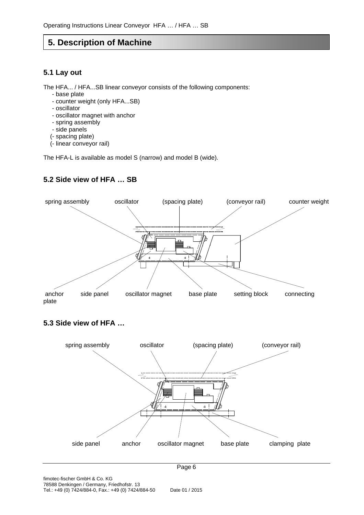### **5. Description of Machine**

### **5.1 Lay out**

The HFA... / HFA...SB linear conveyor consists of the following components:

- base plate
- counter weight (only HFA...SB)
- oscillator
- oscillator magnet with anchor
- spring assembly
- side panels
- (- spacing plate)
- (- linear conveyor rail)

The HFA-L is available as model S (narrow) and model B (wide).

### **5.2 Side view of HFA … SB**



### **5.3 Side view of HFA …**

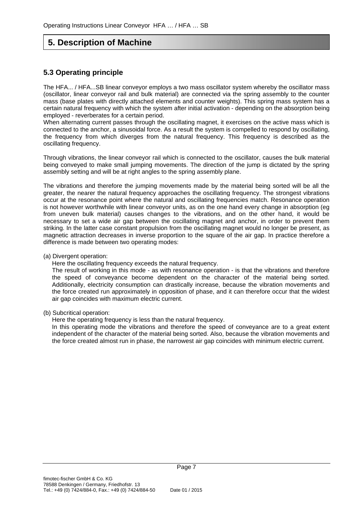# **5. Description of Machine**

### **5.3 Operating principle**

The HFA... / HFA...SB linear conveyor employs a two mass oscillator system whereby the oscillator mass (oscillator, linear conveyor rail and bulk material) are connected via the spring assembly to the counter mass (base plates with directly attached elements and counter weights). This spring mass system has a certain natural frequency with which the system after initial activation - depending on the absorption being employed - reverberates for a certain period.

When alternating current passes through the oscillating magnet, it exercises on the active mass which is connected to the anchor, a sinusoidal force. As a result the system is compelled to respond by oscillating, the frequency from which diverges from the natural frequency. This frequency is described as the oscillating frequency.

Through vibrations, the linear conveyor rail which is connected to the oscillator, causes the bulk material being conveyed to make small jumping movements. The direction of the jump is dictated by the spring assembly setting and will be at right angles to the spring assembly plane.

The vibrations and therefore the jumping movements made by the material being sorted will be all the greater, the nearer the natural frequency approaches the oscillating frequency. The strongest vibrations occur at the resonance point where the natural and oscillating frequencies match. Resonance operation is not however worthwhile with linear conveyor units, as on the one hand every change in absorption (eg from uneven bulk material) causes changes to the vibrations, and on the other hand, it would be necessary to set a wide air gap between the oscillating magnet and anchor, in order to prevent them striking. In the latter case constant propulsion from the oscillating magnet would no longer be present, as magnetic attraction decreases in inverse proportion to the square of the air gap. In practice therefore a difference is made between two operating modes:

#### (a) Divergent operation:

Here the oscillating frequency exceeds the natural frequency.

The result of working in this mode - as with resonance operation - is that the vibrations and therefore the speed of conveyance become dependent on the character of the material being sorted. Additionally, electricity consumption can drastically increase, because the vibration movements and the force created run approximately in opposition of phase, and it can therefore occur that the widest air gap coincides with maximum electric current.

#### (b) Subcritical operation:

Here the operating frequency is less than the natural frequency.

In this operating mode the vibrations and therefore the speed of conveyance are to a great extent independent of the character of the material being sorted. Also, because the vibration movements and the force created almost run in phase, the narrowest air gap coincides with minimum electric current.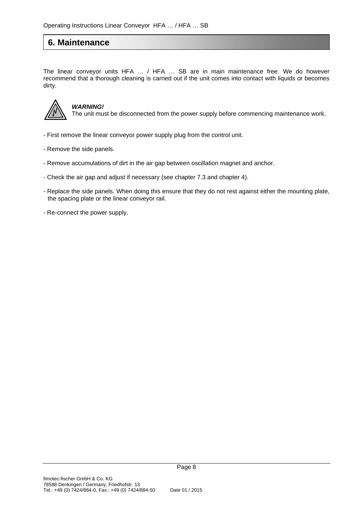### **6. Maintenance**

The linear conveyor units HFA … / HFA … SB are in main maintenance free. We do however recommend that a thorough cleaning is carried out if the unit comes into contact with liquids or becomes dirty.



### *WARNING!*

The unit must be disconnected from the power supply before commencing maintenance work.

- First remove the linear conveyor power supply plug from the control unit.
- Remove the side panels.
- Remove accumulations of dirt in the air gap between oscillation magnet and anchor.
- Check the air gap and adjust if necessary (see chapter 7.3 and chapter 4).
- Replace the side panels. When doing this ensure that they do not rest against either the mounting plate, the spacing plate or the linear conveyor rail.
- Re-connect the power supply.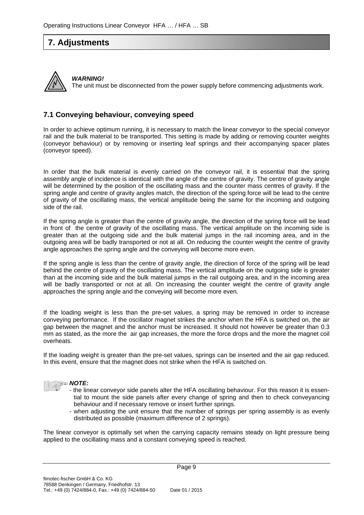### **7. Adjustments**



*WARNING!* The unit must be disconnected from the power supply before commencing adjustments work.

### **7.1 Conveying behaviour, conveying speed**

In order to achieve optimum running, it is necessary to match the linear conveyor to the special conveyor rail and the bulk material to be transported. This setting is made by adding or removing counter weights (conveyor behaviour) or by removing or inserting leaf springs and their accompanying spacer plates (conveyor speed).

In order that the bulk material is evenly carried on the conveyor rail, it is essential that the spring assembly angle of incidence is identical with the angle of the centre of gravity. The centre of gravity angle will be determined by the position of the oscillating mass and the counter mass centres of gravity. If the spring angle and centre of gravity angles match, the direction of the spring force will be lead to the centre of gravity of the oscillating mass, the vertical amplitude being the same for the incoming and outgoing side of the rail.

If the spring angle is greater than the centre of gravity angle, the direction of the spring force will be lead in front of the centre of gravity of the oscillating mass. The vertical amplitude on the incoming side is greater than at the outgoing side and the bulk material jumps in the rail incoming area, and in the outgoing area will be badly transported or not at all. On reducing the counter weight the centre of gravity angle approaches the spring angle and the conveying will become more even.

If the spring angle is less than the centre of gravity angle, the direction of force of the spring will be lead behind the centre of gravity of the oscillating mass. The vertical amplitude on the outgoing side is greater than at the incoming side and the bulk material jumps in the rail outgoing area, and in the incoming area will be badly transported or not at all. On increasing the counter weight the centre of gravity angle approaches the spring angle and the conveying will become more even.

If the loading weight is less than the pre-set values, a spring may be removed in order to increase conveying performance. If the oscillator magnet strikes the anchor when the HFA is switched on, the air gap between the magnet and the anchor must be increased. It should not however be greater than 0.3 mm as stated, as the more the air gap increases, the more the force drops and the more the magnet coil overheats.

If the loading weight is greater than the pre-set values, springs can be inserted and the air gap reduced. In this event, ensure that the magnet does not strike when the HFA is switched on.



- *NOTE:* 
	- the linear conveyor side panels alter the HFA oscillating behaviour. For this reason it is essential to mount the side panels after every change of spring and then to check conveyancing behaviour and if necessary remove or insert further springs.
	- when adjusting the unit ensure that the number of springs per spring assembly is as evenly distributed as possible (maximum difference of 2 springs).

The linear conveyor is optimally set when the carrying capacity remains steady on light pressure being applied to the oscillating mass and a constant conveying speed is reached.

Page 9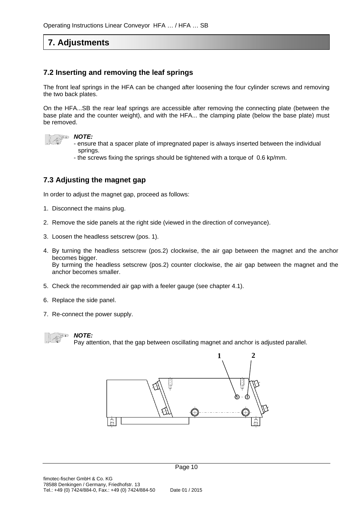# **7. Adjustments**

### **7.2 Inserting and removing the leaf springs**

The front leaf springs in the HFA can be changed after loosening the four cylinder screws and removing the two back plates.

On the HFA...SB the rear leaf springs are accessible after removing the connecting plate (between the base plate and the counter weight), and with the HFA... the clamping plate (below the base plate) must be removed.

#### *NOTE:*

- ensure that a spacer plate of impregnated paper is always inserted between the individual springs.
- the screws fixing the springs should be tightened with a torque of 0.6 kp/mm.

### **7.3 Adjusting the magnet gap**

In order to adjust the magnet gap, proceed as follows:

- 1. Disconnect the mains plug.
- 2. Remove the side panels at the right side (viewed in the direction of conveyance).
- 3. Loosen the headless setscrew (pos. 1).
- 4. By turning the headless setscrew (pos.2) clockwise, the air gap between the magnet and the anchor becomes bigger. By turming the headless setscrew (pos.2) counter clockwise, the air gap between the magnet and the anchor becomes smaller.
- 5. Check the recommended air gap with a feeler gauge (see chapter 4.1).
- 6. Replace the side panel.
- 7. Re-connect the power supply.

### *NOTE:*

Pay attention, that the gap between oscillating magnet and anchor is adjusted parallel.

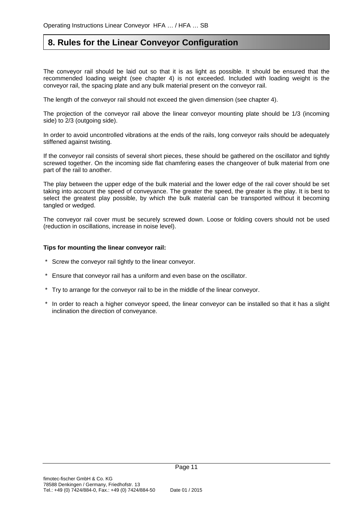### **8. Rules for the Linear Conveyor Configuration**

The conveyor rail should be laid out so that it is as light as possible. It should be ensured that the recommended loading weight (see chapter 4) is not exceeded. Included with loading weight is the conveyor rail, the spacing plate and any bulk material present on the conveyor rail.

The length of the conveyor rail should not exceed the given dimension (see chapter 4).

The projection of the conveyor rail above the linear conveyor mounting plate should be 1/3 (incoming side) to 2/3 (outgoing side).

In order to avoid uncontrolled vibrations at the ends of the rails, long conveyor rails should be adequately stiffened against twisting.

If the conveyor rail consists of several short pieces, these should be gathered on the oscillator and tightly screwed together. On the incoming side flat chamfering eases the changeover of bulk material from one part of the rail to another.

The play between the upper edge of the bulk material and the lower edge of the rail cover should be set taking into account the speed of conveyance. The greater the speed, the greater is the play. It is best to select the greatest play possible, by which the bulk material can be transported without it becoming tangled or wedged.

The conveyor rail cover must be securely screwed down. Loose or folding covers should not be used (reduction in oscillations, increase in noise level).

#### **Tips for mounting the linear conveyor rail:**

- \* Screw the conveyor rail tightly to the linear conveyor.
- \* Ensure that conveyor rail has a uniform and even base on the oscillator.
- \* Try to arrange for the conveyor rail to be in the middle of the linear conveyor.
- \* In order to reach a higher conveyor speed, the linear conveyor can be installed so that it has a slight inclination the direction of conveyance.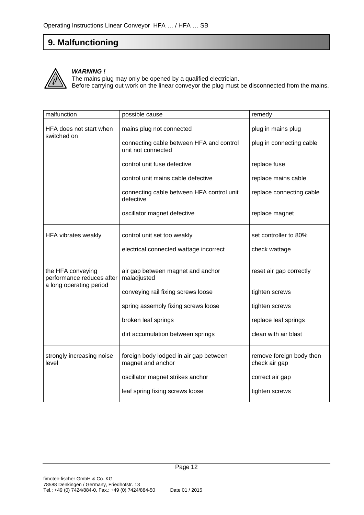# **9. Malfunctioning**



#### *WARNING !*

The mains plug may only be opened by a qualified electrician. Before carrying out work on the linear conveyor the plug must be disconnected from the mains.

| malfunction                                    | possible cause                                                 | remedy                                    |
|------------------------------------------------|----------------------------------------------------------------|-------------------------------------------|
| HFA does not start when<br>switched on         | mains plug not connected                                       | plug in mains plug                        |
|                                                | connecting cable between HFA and control<br>unit not connected | plug in connecting cable                  |
|                                                | control unit fuse defective                                    | replace fuse                              |
|                                                | control unit mains cable defective                             | replace mains cable                       |
|                                                | connecting cable between HFA control unit<br>defective         | replace connecting cable                  |
|                                                | oscillator magnet defective                                    | replace magnet                            |
| HFA vibrates weakly                            | control unit set too weakly                                    | set controller to 80%                     |
|                                                | electrical connected wattage incorrect                         | check wattage                             |
| the HFA conveying<br>performance reduces after | air gap between magnet and anchor<br>maladjusted               | reset air gap correctly                   |
| a long operating period                        | conveying rail fixing screws loose                             | tighten screws                            |
|                                                | spring assembly fixing screws loose                            | tighten screws                            |
|                                                | broken leaf springs                                            | replace leaf springs                      |
|                                                | dirt accumulation between springs                              | clean with air blast                      |
| strongly increasing noise<br>level             | foreign body lodged in air gap between<br>magnet and anchor    | remove foreign body then<br>check air gap |
|                                                | oscillator magnet strikes anchor                               | correct air gap                           |
|                                                | leaf spring fixing screws loose                                | tighten screws                            |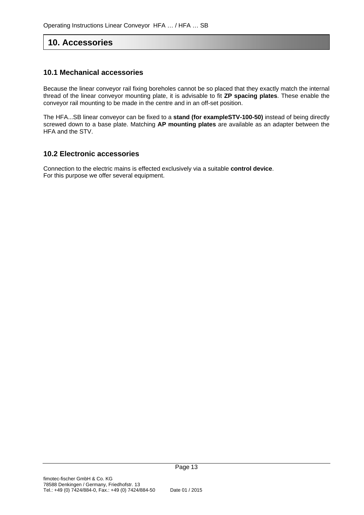### **10. Accessories**

### **10.1 Mechanical accessories**

Because the linear conveyor rail fixing boreholes cannot be so placed that they exactly match the internal thread of the linear conveyor mounting plate, it is advisable to fit **ZP spacing plates**. These enable the conveyor rail mounting to be made in the centre and in an off-set position.

The HFA...SB linear conveyor can be fixed to a **stand (for exampleSTV-100-50)** instead of being directly screwed down to a base plate. Matching **AP mounting plates** are available as an adapter between the HFA and the STV.

#### **10.2 Electronic accessories**

Connection to the electric mains is effected exclusively via a suitable **control device**. For this purpose we offer several equipment.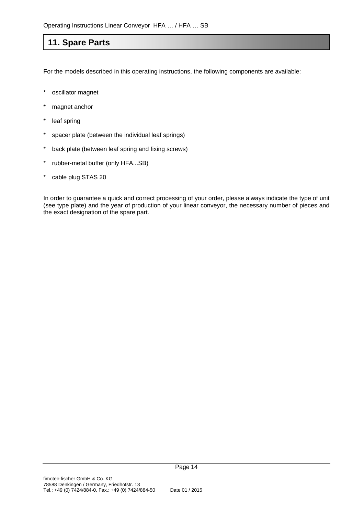### **11. Spare Parts**

For the models described in this operating instructions, the following components are available:

- \* oscillator magnet
- magnet anchor
- leaf spring
- spacer plate (between the individual leaf springs)
- back plate (between leaf spring and fixing screws)
- rubber-metal buffer (only HFA...SB)
- cable plug STAS 20

In order to guarantee a quick and correct processing of your order, please always indicate the type of unit (see type plate) and the year of production of your linear conveyor, the necessary number of pieces and the exact designation of the spare part.